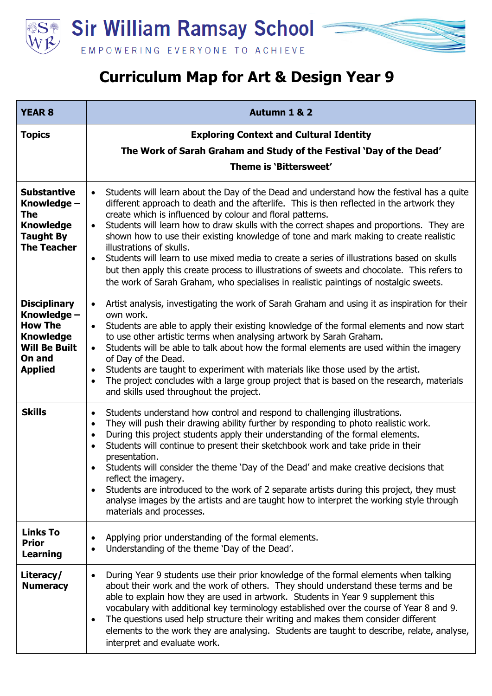



| <b>YEAR 8</b>                                                                                                                | Autumn 1 & 2                                                                                                                                                                                                                                                                                                                                                                                                                                                                                                                                                                                                                                                                                                                                                                                      |
|------------------------------------------------------------------------------------------------------------------------------|---------------------------------------------------------------------------------------------------------------------------------------------------------------------------------------------------------------------------------------------------------------------------------------------------------------------------------------------------------------------------------------------------------------------------------------------------------------------------------------------------------------------------------------------------------------------------------------------------------------------------------------------------------------------------------------------------------------------------------------------------------------------------------------------------|
| <b>Topics</b>                                                                                                                | <b>Exploring Context and Cultural Identity</b><br>The Work of Sarah Graham and Study of the Festival 'Day of the Dead'<br>Theme is 'Bittersweet'                                                                                                                                                                                                                                                                                                                                                                                                                                                                                                                                                                                                                                                  |
| <b>Substantive</b><br>Knowledge -<br>The<br><b>Knowledge</b><br><b>Taught By</b><br><b>The Teacher</b>                       | Students will learn about the Day of the Dead and understand how the festival has a quite<br>$\bullet$<br>different approach to death and the afterlife. This is then reflected in the artwork they<br>create which is influenced by colour and floral patterns.<br>Students will learn how to draw skulls with the correct shapes and proportions. They are<br>$\bullet$<br>shown how to use their existing knowledge of tone and mark making to create realistic<br>illustrations of skulls.<br>Students will learn to use mixed media to create a series of illustrations based on skulls<br>$\bullet$<br>but then apply this create process to illustrations of sweets and chocolate. This refers to<br>the work of Sarah Graham, who specialises in realistic paintings of nostalgic sweets. |
| <b>Disciplinary</b><br>Knowledge -<br><b>How The</b><br><b>Knowledge</b><br><b>Will Be Built</b><br>On and<br><b>Applied</b> | Artist analysis, investigating the work of Sarah Graham and using it as inspiration for their<br>$\bullet$<br>own work.<br>Students are able to apply their existing knowledge of the formal elements and now start<br>$\bullet$<br>to use other artistic terms when analysing artwork by Sarah Graham.<br>Students will be able to talk about how the formal elements are used within the imagery<br>$\bullet$<br>of Day of the Dead.<br>Students are taught to experiment with materials like those used by the artist.<br>$\bullet$<br>The project concludes with a large group project that is based on the research, materials<br>$\bullet$<br>and skills used throughout the project.                                                                                                       |
| <b>Skills</b>                                                                                                                | Students understand how control and respond to challenging illustrations.<br>$\bullet$<br>They will push their drawing ability further by responding to photo realistic work.<br>$\bullet$<br>During this project students apply their understanding of the formal elements.<br>$\bullet$<br>Students will continue to present their sketchbook work and take pride in their<br>$\bullet$<br>presentation.<br>Students will consider the theme 'Day of the Dead' and make creative decisions that<br>reflect the imagery.<br>Students are introduced to the work of 2 separate artists during this project, they must<br>$\bullet$<br>analyse images by the artists and are taught how to interpret the working style through<br>materials and processes.                                         |
| <b>Links To</b><br><b>Prior</b><br><b>Learning</b>                                                                           | Applying prior understanding of the formal elements.<br>$\bullet$<br>Understanding of the theme 'Day of the Dead'.<br>$\bullet$                                                                                                                                                                                                                                                                                                                                                                                                                                                                                                                                                                                                                                                                   |
| Literacy/<br><b>Numeracy</b>                                                                                                 | During Year 9 students use their prior knowledge of the formal elements when talking<br>$\bullet$<br>about their work and the work of others. They should understand these terms and be<br>able to explain how they are used in artwork. Students in Year 9 supplement this<br>vocabulary with additional key terminology established over the course of Year 8 and 9.<br>The questions used help structure their writing and makes them consider different<br>$\bullet$<br>elements to the work they are analysing. Students are taught to describe, relate, analyse,<br>interpret and evaluate work.                                                                                                                                                                                            |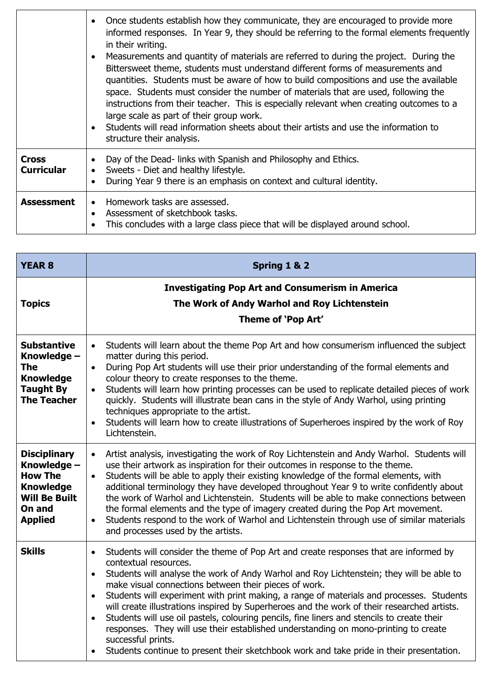|                                   | Once students establish how they communicate, they are encouraged to provide more<br>$\bullet$<br>informed responses. In Year 9, they should be referring to the formal elements frequently<br>in their writing.<br>Measurements and quantity of materials are referred to during the project. During the<br>Bittersweet theme, students must understand different forms of measurements and<br>quantities. Students must be aware of how to build compositions and use the available<br>space. Students must consider the number of materials that are used, following the<br>instructions from their teacher. This is especially relevant when creating outcomes to a<br>large scale as part of their group work.<br>Students will read information sheets about their artists and use the information to<br>structure their analysis. |
|-----------------------------------|------------------------------------------------------------------------------------------------------------------------------------------------------------------------------------------------------------------------------------------------------------------------------------------------------------------------------------------------------------------------------------------------------------------------------------------------------------------------------------------------------------------------------------------------------------------------------------------------------------------------------------------------------------------------------------------------------------------------------------------------------------------------------------------------------------------------------------------|
| <b>Cross</b><br><b>Curricular</b> | Day of the Dead- links with Spanish and Philosophy and Ethics.<br>Sweets - Diet and healthy lifestyle.<br>During Year 9 there is an emphasis on context and cultural identity.                                                                                                                                                                                                                                                                                                                                                                                                                                                                                                                                                                                                                                                           |
| <b>Assessment</b>                 | Homework tasks are assessed.<br>$\bullet$<br>Assessment of sketchbook tasks.<br>This concludes with a large class piece that will be displayed around school.                                                                                                                                                                                                                                                                                                                                                                                                                                                                                                                                                                                                                                                                            |

| <b>YEAR 8</b>                                                                                                                | Spring 1 & 2                                                                                                                                                                                                                                                                                                                                                                                                                                                                                                                                                                                                                                                                                                                                                                       |
|------------------------------------------------------------------------------------------------------------------------------|------------------------------------------------------------------------------------------------------------------------------------------------------------------------------------------------------------------------------------------------------------------------------------------------------------------------------------------------------------------------------------------------------------------------------------------------------------------------------------------------------------------------------------------------------------------------------------------------------------------------------------------------------------------------------------------------------------------------------------------------------------------------------------|
| <b>Topics</b>                                                                                                                | <b>Investigating Pop Art and Consumerism in America</b><br>The Work of Andy Warhol and Roy Lichtenstein<br>Theme of 'Pop Art'                                                                                                                                                                                                                                                                                                                                                                                                                                                                                                                                                                                                                                                      |
| <b>Substantive</b><br>Knowledge -<br><b>The</b><br><b>Knowledge</b><br><b>Taught By</b><br><b>The Teacher</b>                | Students will learn about the theme Pop Art and how consumerism influenced the subject<br>$\bullet$<br>matter during this period.<br>During Pop Art students will use their prior understanding of the formal elements and<br>$\bullet$<br>colour theory to create responses to the theme.<br>Students will learn how printing processes can be used to replicate detailed pieces of work<br>$\bullet$<br>quickly. Students will illustrate bean cans in the style of Andy Warhol, using printing<br>techniques appropriate to the artist.<br>Students will learn how to create illustrations of Superheroes inspired by the work of Roy<br>Lichtenstein.                                                                                                                          |
| <b>Disciplinary</b><br>Knowledge -<br><b>How The</b><br><b>Knowledge</b><br><b>Will Be Built</b><br>On and<br><b>Applied</b> | Artist analysis, investigating the work of Roy Lichtenstein and Andy Warhol. Students will<br>$\bullet$<br>use their artwork as inspiration for their outcomes in response to the theme.<br>Students will be able to apply their existing knowledge of the formal elements, with<br>$\bullet$<br>additional terminology they have developed throughout Year 9 to write confidently about<br>the work of Warhol and Lichtenstein. Students will be able to make connections between<br>the formal elements and the type of imagery created during the Pop Art movement.<br>Students respond to the work of Warhol and Lichtenstein through use of similar materials<br>and processes used by the artists.                                                                           |
| <b>Skills</b>                                                                                                                | Students will consider the theme of Pop Art and create responses that are informed by<br>$\bullet$<br>contextual resources.<br>Students will analyse the work of Andy Warhol and Roy Lichtenstein; they will be able to<br>make visual connections between their pieces of work.<br>Students will experiment with print making, a range of materials and processes. Students<br>will create illustrations inspired by Superheroes and the work of their researched artists.<br>Students will use oil pastels, colouring pencils, fine liners and stencils to create their<br>responses. They will use their established understanding on mono-printing to create<br>successful prints.<br>Students continue to present their sketchbook work and take pride in their presentation. |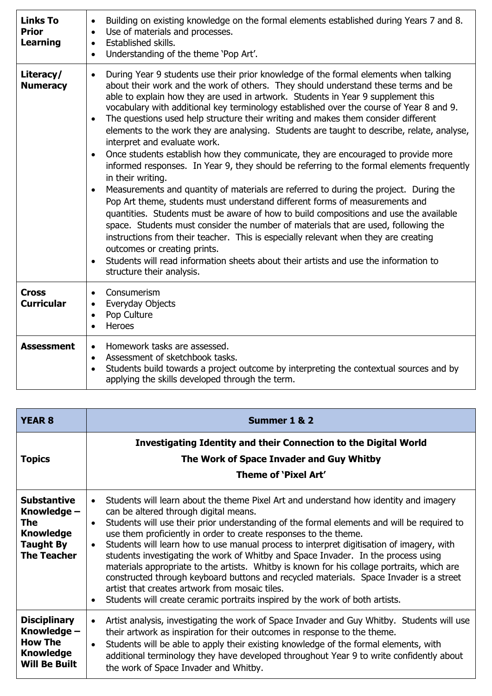| <b>Links To</b><br><b>Prior</b><br><b>Learning</b> | Building on existing knowledge on the formal elements established during Years 7 and 8.<br>$\bullet$<br>Use of materials and processes.<br>$\bullet$<br>Established skills.<br>$\bullet$<br>Understanding of the theme 'Pop Art'.<br>$\bullet$                                                                                                                                                                                                                                                                                                                                                                                                                                                                                                                                                                                                                                                                                                                                                                                                                                                                                                                                                                                                                                                                                                                                                                                                          |
|----------------------------------------------------|---------------------------------------------------------------------------------------------------------------------------------------------------------------------------------------------------------------------------------------------------------------------------------------------------------------------------------------------------------------------------------------------------------------------------------------------------------------------------------------------------------------------------------------------------------------------------------------------------------------------------------------------------------------------------------------------------------------------------------------------------------------------------------------------------------------------------------------------------------------------------------------------------------------------------------------------------------------------------------------------------------------------------------------------------------------------------------------------------------------------------------------------------------------------------------------------------------------------------------------------------------------------------------------------------------------------------------------------------------------------------------------------------------------------------------------------------------|
| Literacy/<br><b>Numeracy</b>                       | During Year 9 students use their prior knowledge of the formal elements when talking<br>$\bullet$<br>about their work and the work of others. They should understand these terms and be<br>able to explain how they are used in artwork. Students in Year 9 supplement this<br>vocabulary with additional key terminology established over the course of Year 8 and 9.<br>The questions used help structure their writing and makes them consider different<br>$\bullet$<br>elements to the work they are analysing. Students are taught to describe, relate, analyse,<br>interpret and evaluate work.<br>Once students establish how they communicate, they are encouraged to provide more<br>$\bullet$<br>informed responses. In Year 9, they should be referring to the formal elements frequently<br>in their writing.<br>Measurements and quantity of materials are referred to during the project. During the<br>$\bullet$<br>Pop Art theme, students must understand different forms of measurements and<br>quantities. Students must be aware of how to build compositions and use the available<br>space. Students must consider the number of materials that are used, following the<br>instructions from their teacher. This is especially relevant when they are creating<br>outcomes or creating prints.<br>Students will read information sheets about their artists and use the information to<br>$\bullet$<br>structure their analysis. |
| <b>Cross</b><br><b>Curricular</b>                  | Consumerism<br>$\bullet$<br>Everyday Objects<br>$\bullet$<br>Pop Culture<br>$\bullet$<br><b>Heroes</b><br>$\bullet$                                                                                                                                                                                                                                                                                                                                                                                                                                                                                                                                                                                                                                                                                                                                                                                                                                                                                                                                                                                                                                                                                                                                                                                                                                                                                                                                     |
| <b>Assessment</b>                                  | Homework tasks are assessed.<br>$\bullet$<br>Assessment of sketchbook tasks.<br>$\bullet$<br>Students build towards a project outcome by interpreting the contextual sources and by<br>$\bullet$<br>applying the skills developed through the term.                                                                                                                                                                                                                                                                                                                                                                                                                                                                                                                                                                                                                                                                                                                                                                                                                                                                                                                                                                                                                                                                                                                                                                                                     |

| <b>YEAR 8</b>                                                                                          | Summer 1 & 2                                                                                                                                                                                                                                                                                                                                                                                                                                                                                                                                                                                                                                                                                                                                                                                                                                                    |
|--------------------------------------------------------------------------------------------------------|-----------------------------------------------------------------------------------------------------------------------------------------------------------------------------------------------------------------------------------------------------------------------------------------------------------------------------------------------------------------------------------------------------------------------------------------------------------------------------------------------------------------------------------------------------------------------------------------------------------------------------------------------------------------------------------------------------------------------------------------------------------------------------------------------------------------------------------------------------------------|
| <b>Topics</b>                                                                                          | <b>Investigating Identity and their Connection to the Digital World</b><br>The Work of Space Invader and Guy Whitby<br>Theme of 'Pixel Art'                                                                                                                                                                                                                                                                                                                                                                                                                                                                                                                                                                                                                                                                                                                     |
| <b>Substantive</b><br>Knowledge -<br>The<br><b>Knowledge</b><br><b>Taught By</b><br><b>The Teacher</b> | Students will learn about the theme Pixel Art and understand how identity and imagery<br>$\bullet$<br>can be altered through digital means.<br>Students will use their prior understanding of the formal elements and will be required to<br>$\bullet$<br>use them proficiently in order to create responses to the theme.<br>Students will learn how to use manual process to interpret digitisation of imagery, with<br>$\bullet$<br>students investigating the work of Whitby and Space Invader. In the process using<br>materials appropriate to the artists. Whitby is known for his collage portraits, which are<br>constructed through keyboard buttons and recycled materials. Space Invader is a street<br>artist that creates artwork from mosaic tiles.<br>Students will create ceramic portraits inspired by the work of both artists.<br>$\bullet$ |
| <b>Disciplinary</b><br>Knowledge -<br><b>How The</b><br><b>Knowledge</b><br><b>Will Be Built</b>       | Artist analysis, investigating the work of Space Invader and Guy Whitby. Students will use<br>$\bullet$<br>their artwork as inspiration for their outcomes in response to the theme.<br>Students will be able to apply their existing knowledge of the formal elements, with<br>$\bullet$<br>additional terminology they have developed throughout Year 9 to write confidently about<br>the work of Space Invader and Whitby.                                                                                                                                                                                                                                                                                                                                                                                                                                   |